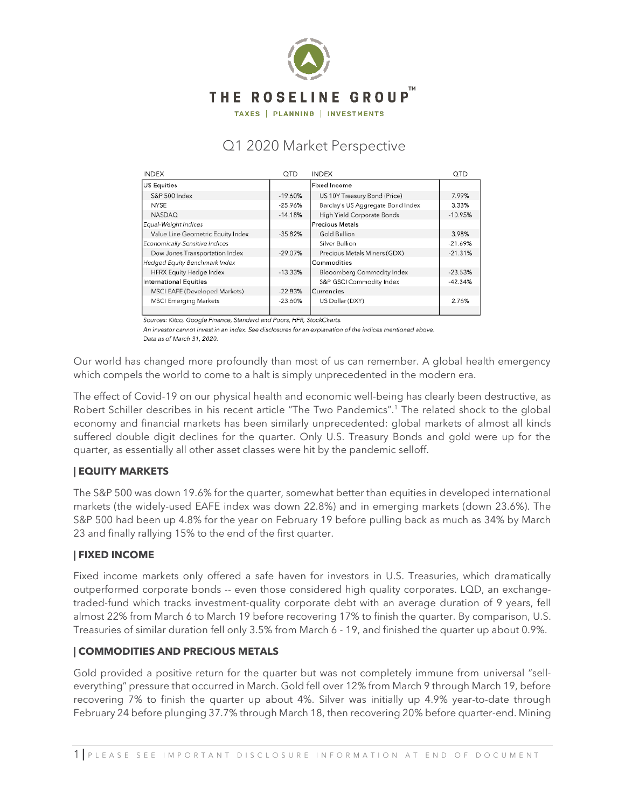

TAXES | PLANNING | INVESTMENTS

# Q1 2020 Market Perspective

| <b>INDEX</b>                      | QTD       | <b>INDEX</b>                      | QTD       |
|-----------------------------------|-----------|-----------------------------------|-----------|
| US Equities                       |           | Fixed Income                      |           |
| S&P 500 Index                     | $-19.60%$ | US 10Y Treasury Bond (Price)      | 7.99%     |
| NYSE                              | $-25.96%$ | Barclay's US Aggregate Bond Index | 3.33%     |
| <b>NASDAQ</b>                     | $-14.18%$ | High Yield Corporate Bonds        | $-10.95%$ |
| Equal-Weight Indices              |           | Precious Metals                   |           |
| Value Line Geometric Equity Index | $-35.82%$ | Gold Bullion                      | 3.98%     |
| Economically-Sensitive Indices    |           | Silver Bullion                    | $-21.69%$ |
| Dow Jones Transportation Index    | $-29.07%$ | Precious Metals Miners (GDX)      | $-21.31%$ |
| Hedged Equity Benchmark Index     |           | Commodities                       |           |
| HFRX Equity Hedge Index           | $-13.33%$ | Blooomberg Commodity Index        | $-23.53%$ |
| International Equities            |           | S&P GSCI Commodity Index          | $-42.34%$ |
| MSCI EAFE (Developed Markets)     | $-22.83%$ | Currencies                        |           |
| <b>MSCI Emerging Markets</b>      | $-23.60%$ | US Dollar (DXY)                   | 2.76%     |
|                                   |           |                                   |           |

Sources: Kitco, Google Finance, Standard and Poors, HFR, StockCharts.

An investor cannot invest in an index. See disclosures for an explanation of the indices mentioned above.

Data as of March 31, 2020.

Our world has changed more profoundly than most of us can remember. A global health emergency which compels the world to come to a halt is simply unprecedented in the modern era.

The effect of Covid-19 on our physical health and economic well-being has clearly been destructive, as Robert Schiller describes in his recent article "The Two Pandemics". <sup>1</sup> The related shock to the global economy and financial markets has been similarly unprecedented: global markets of almost all kinds suffered double digit declines for the quarter. Only U.S. Treasury Bonds and gold were up for the quarter, as essentially all other asset classes were hit by the pandemic selloff.

## **| EQUITY MARKETS**

The S&P 500 was down 19.6% for the quarter, somewhat better than equities in developed international markets (the widely-used EAFE index was down 22.8%) and in emerging markets (down 23.6%). The S&P 500 had been up 4.8% for the year on February 19 before pulling back as much as 34% by March 23 and finally rallying 15% to the end of the first quarter.

## **| FIXED INCOME**

Fixed income markets only offered a safe haven for investors in U.S. Treasuries, which dramatically outperformed corporate bonds -- even those considered high quality corporates. LQD, an exchangetraded-fund which tracks investment-quality corporate debt with an average duration of 9 years, fell almost 22% from March 6 to March 19 before recovering 17% to finish the quarter. By comparison, U.S. Treasuries of similar duration fell only 3.5% from March 6 - 19, and finished the quarter up about 0.9%.

## **| COMMODITIES AND PRECIOUS METALS**

Gold provided a positive return for the quarter but was not completely immune from universal "selleverything" pressure that occurred in March. Gold fell over 12% from March 9 through March 19, before recovering 7% to finish the quarter up about 4%. Silver was initially up 4.9% year-to-date through February 24 before plunging 37.7% through March 18, then recovering 20% before quarter-end. Mining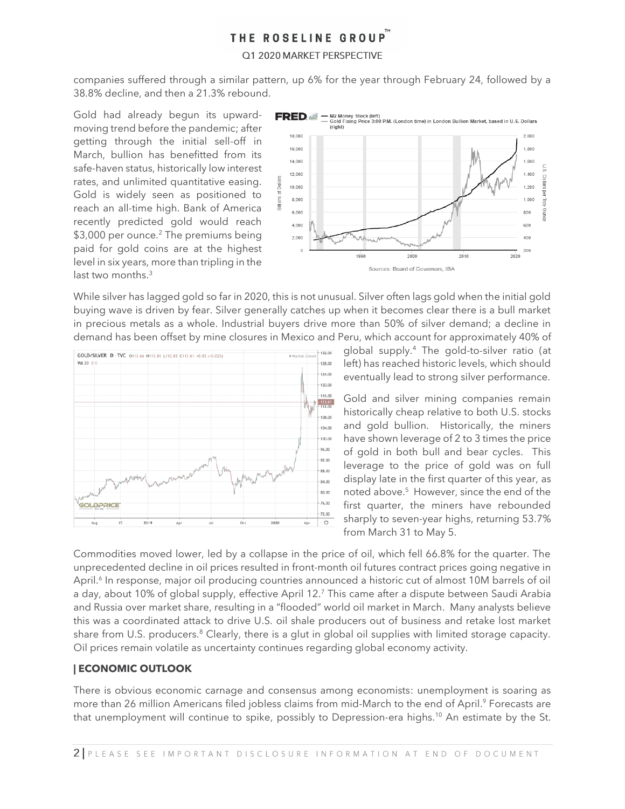### Q1 2020 MARKET PERSPECTIVE

companies suffered through a similar pattern, up 6% for the year through February 24, followed by a 38.8% decline, and then a 21.3% rebound.

Gold had already begun its upwardmoving trend before the pandemic; after getting through the initial sell-off in March, bullion has benefitted from its safe-haven status, historically low interest rates, and unlimited quantitative easing. Gold is widely seen as positioned to reach an all-time high. Bank of America recently predicted gold would reach \$3,000 per ounce.<sup>2</sup> The premiums being paid for gold coins are at the highest level in six years, more than tripling in the last two months.<sup>3</sup>



While silver has lagged gold so far in 2020, this is not unusual. Silver often lags gold when the initial gold buying wave is driven by fear. Silver generally catches up when it becomes clear there is a bull market in precious metals as a whole. Industrial buyers drive more than 50% of silver demand; a decline in demand has been offset by mine closures in Mexico and Peru, which account for approximately 40% of



global supply.<sup>4</sup> The gold-to-silver ratio (at left) has reached historic levels, which should eventually lead to strong silver performance.

Gold and silver mining companies remain historically cheap relative to both U.S. stocks and gold bullion. Historically, the miners have shown leverage of 2 to 3 times the price of gold in both bull and bear cycles. This leverage to the price of gold was on full display late in the first quarter of this year, as noted above.<sup>5</sup> However, since the end of the first quarter, the miners have rebounded sharply to seven-year highs, returning 53.7% from March 31 to May 5.

Commodities moved lower, led by a collapse in the price of oil, which fell 66.8% for the quarter. The unprecedented decline in oil prices resulted in front-month oil futures contract prices going negative in April.<sup>6</sup> In response, major oil producing countries announced a historic cut of almost 10M barrels of oil a day, about 10% of global supply, effective April 12.<sup>7</sup> This came after a dispute between Saudi Arabia and Russia over market share, resulting in a "flooded" world oil market in March. Many analysts believe this was a coordinated attack to drive U.S. oil shale producers out of business and retake lost market share from U.S. producers.<sup>8</sup> Clearly, there is a glut in global oil supplies with limited storage capacity. Oil prices remain volatile as uncertainty continues regarding global economy activity.

### **| ECONOMIC OUTLOOK**

There is obvious economic carnage and consensus among economists: unemployment is soaring as more than 26 million Americans filed jobless claims from mid-March to the end of April. <sup>9</sup> Forecasts are that unemployment will continue to spike, possibly to Depression-era highs.<sup>10</sup> An estimate by the St.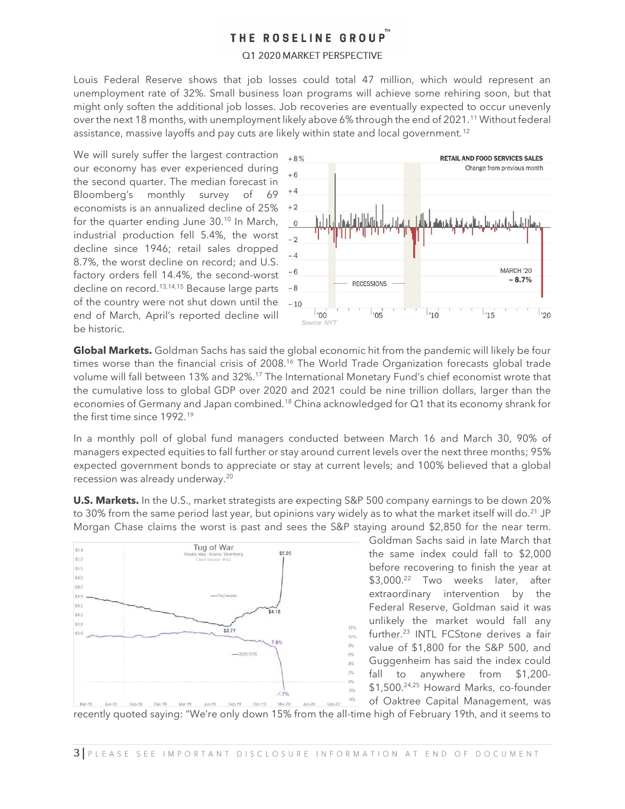### Q1 2020 MARKET PERSPECTIVE

Louis Federal Reserve shows that job losses could total 47 million, which would represent an unemployment rate of 32%. Small business loan programs will achieve some rehiring soon, but that might only soften the additional job losses. Job recoveries are eventually expected to occur unevenly over the next 18 months, with unemployment likely above 6% through the end of 2021.<sup>11</sup> Without federal assistance, massive layoffs and pay cuts are likely within state and local government.<sup>12</sup>

We will surely suffer the largest contraction our economy has ever experienced during the second quarter. The median forecast in Bloomberg's monthly survey of 69 economists is an annualized decline of 25% for the quarter ending June 30.<sup>10</sup> In March, industrial production fell 5.4%, the worst decline since 1946; retail sales dropped 8.7%, the worst decline on record; and U.S. factory orders fell 14.4%, the second-worst decline on record.<sup>13,14,15</sup> Because large parts of the country were not shut down until the end of March, April's reported decline will be historic.



**Global Markets.** Goldman Sachs has said the global economic hit from the pandemic will likely be four times worse than the financial crisis of 2008.<sup>16</sup> The World Trade Organization forecasts global trade volume will fall between 13% and 32%.<sup>17</sup> The International Monetary Fund's chief economist wrote that the cumulative loss to global GDP over 2020 and 2021 could be nine trillion dollars, larger than the economies of Germany and Japan combined.<sup>18</sup> China acknowledged for Q1 that its economy shrank for the first time since 1992.<sup>19</sup>

In a monthly poll of global fund managers conducted between March 16 and March 30, 90% of managers expected equities to fall further or stay around current levels over the next three months; 95% expected government bonds to appreciate or stay at current levels; and 100% believed that a global recession was already underway.<sup>20</sup>

**U.S. Markets.** In the U.S., market strategists are expecting S&P 500 company earnings to be down 20% to 30% from the same period last year, but opinions vary widely as to what the market itself will do.<sup>21</sup> JP Morgan Chase claims the worst is past and sees the S&P staying around \$2,850 for the near term.



Goldman Sachs said in late March that the same index could fall to \$2,000 before recovering to finish the year at \$3,000. <sup>22</sup> Two weeks later, after extraordinary intervention by the Federal Reserve, Goldman said it was unlikely the market would fall any further.<sup>23</sup> INTL FCStone derives a fair value of \$1,800 for the S&P 500, and Guggenheim has said the index could fall to anywhere from \$1,200- \$1,500.24,25 Howard Marks, co-founder of Oaktree Capital Management, was

recently quoted saying: "We're only down 15% from the all-time high of February 19th, and it seems to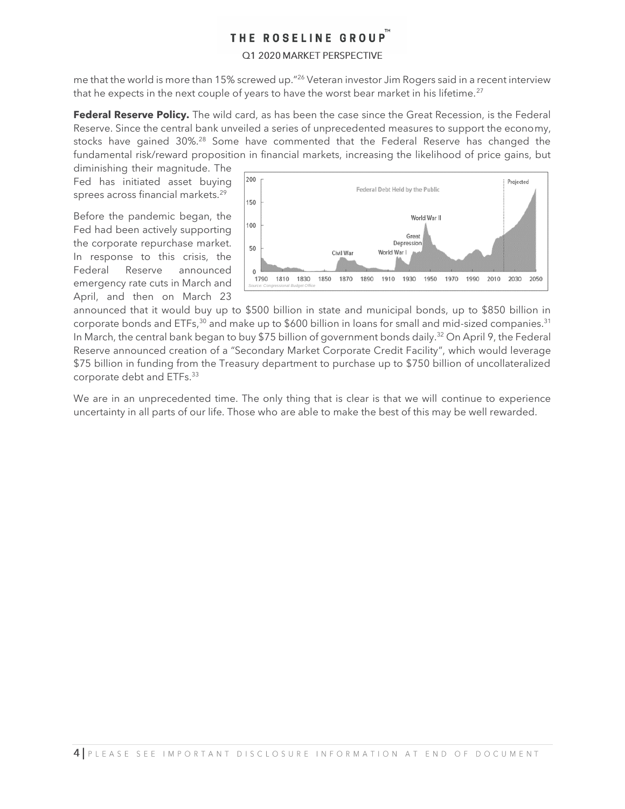### Q1 2020 MARKET PERSPECTIVE

me that the world is more than 15% screwed up."<sup>26</sup> Veteran investor Jim Rogers said in a recent interview that he expects in the next couple of years to have the worst bear market in his lifetime.<sup>27</sup>

**Federal Reserve Policy.** The wild card, as has been the case since the Great Recession, is the Federal Reserve. Since the central bank unveiled a series of unprecedented measures to support the economy, stocks have gained 30%.<sup>28</sup> Some have commented that the Federal Reserve has changed the fundamental risk/reward proposition in financial markets, increasing the likelihood of price gains, but

diminishing their magnitude. The Fed has initiated asset buying sprees across financial markets.<sup>29</sup>

Before the pandemic began, the Fed had been actively supporting the corporate repurchase market. In response to this crisis, the Federal Reserve announced emergency rate cuts in March and April, and then on March 23



announced that it would buy up to \$500 billion in state and municipal bonds, up to \$850 billion in corporate bonds and ETFs,<sup>30</sup> and make up to \$600 billion in loans for small and mid-sized companies.<sup>31</sup> In March, the central bank began to buy \$75 billion of government bonds daily.<sup>32</sup> On April 9, the Federal Reserve announced creation of a "Secondary Market Corporate Credit Facility", which would leverage \$75 billion in funding from the Treasury department to purchase up to \$750 billion of uncollateralized corporate debt and ETFs.<sup>33</sup>

We are in an unprecedented time. The only thing that is clear is that we will continue to experience uncertainty in all parts of our life. Those who are able to make the best of this may be well rewarded.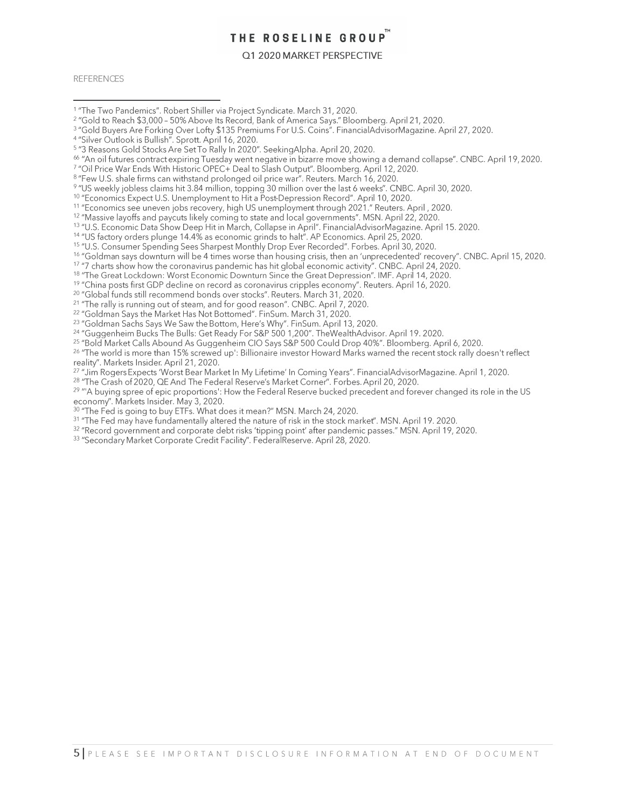#### Q1 2020 MARKET PERSPECTIVE

**REFERENCES** 

- <sup>1</sup> "The Two Pandemics". Robert Shiller via Project Syndicate. March 31, 2020.
- <sup>2</sup> "Gold to Reach \$3,000 50% Above Its Record, Bank of America Says." Bloomberg. April 21, 2020.
- <sup>3</sup> "Gold Buyers Are Forking Over Lofty \$135 Premiums For U.S. Coins". FinancialAdvisorMagazine. April 27, 2020.<br>4 "Silver Outlook is Bullish". Sprott. April 16, 2020.

13"U.S. Economic Data Show Deep Hit in March, Collapse in April". Financial AdvisorMagazine. April 15. 2020.<br><sup>14</sup>"US factory orders plunge 14.4% as economic grinds to halt". AP Economics. April 25, 2020.

<sup>15</sup> "U.S. Consumer Spending Sees Sharpest Monthly Drop Ever Recorded". Forbes. April 30, 2020.

- <sup>16</sup> "Goldman says downturn will be 4 times worse than housing crisis, then an 'unprecedented' recovery". CNBC. April 15, 2020.
- 17 "7 charts show how the coronavirus pandemic has hit global economic activity". CNBC. April 24, 2020.<br><sup>17</sup> "The Great Lockdown: Worst Economic Downturn Since the Great Depression". IMF. April 14, 2020.
- 
- <sup>19</sup> "China posts first GDP decline on record as coronavirus cripples economy". Reuters. April 16, 2020.
- <sup>20</sup> "Global funds still recommend bonds over stocks". Reuters. March 31, 2020.
- <sup>21</sup> "The rally is running out of steam, and for good reason". CNBC. April 7, 2020.
- <sup>22</sup> "Goldman Says the Market Has Not Bottomed". FinSum. March 31, 2020.

- 23 "Goldman Sachs Says We Saw the Bottom, Here's Why". FinSum. April 13, 2020.<br><sup>24</sup> "Guggenheim Bucks The Bulls: Get Ready For S&P 500 1,200". TheWealthAdvisor. April 19. 2020.
- <sup>25</sup> "Bold Market Calls Abound As Guggenheim CIO Says S&P 500 Could Drop 40%". Bloomberg. April 6, 2020.

<sup>26</sup> "The world is more than 15% screwed up': Billionaire investor Howard Marks warned the recent stock rally doesn't reflect reality". Markets Insider. April 21, 2020.

<sup>27</sup> "Jim Rogers Expects 'Worst Bear Market In My Lifetime' In Coming Years". FinancialAdvisorMagazine. April 1, 2020.

<sup>28</sup> "The Crash of 2020, QE And The Federal Reserve's Market Corner". Forbes. April 20, 2020.

<sup>29</sup> "A buying spree of epic proportions': How the Federal Reserve bucked precedent and forever changed its role in the US economy". Markets Insider. May 3, 2020.

- <sup>30</sup> "The Fed is going to buy ETFs. What does it mean?" MSN. March 24, 2020.
- <sup>31</sup> "The Fed may have fundamentally altered the nature of risk in the stock market". MSN. April 19. 2020.
- <sup>32</sup> "Record government and corporate debt risks 'tipping point' after pandemic passes." MSN. April 19, 2020.
- <sup>33</sup> "Secondary Market Corporate Credit Facility". FederalReserve. April 28, 2020.

<sup>&</sup>lt;sup>5</sup> "3 Reasons Gold Stocks Are Set To Rally In 2020". Seeking Alpha. April 20, 2020.

<sup>66 &</sup>quot;An oil futures contract expiring Tuesday went negative in bizarre move showing a demand collapse". CNBC. April 19, 2020.

<sup>&</sup>lt;sup>7</sup> "Oil Price War Ends With Historic OPEC+ Deal to Slash Output". Bloomberg. April 12, 2020.

<sup>&</sup>lt;sup>8</sup> "Few U.S. shale firms can withstand prolonged oil price war". Reuters. March 16, 2020.<br><sup>9</sup> "US weekly jobless claims hit 3.84 million, topping 30 million over the last 6 weeks". CNBC. April 30, 2020.

<sup>&</sup>lt;sup>10</sup> "Economics Expect U.S. Unemployment to Hit a Post-Depression Record". April 10, 2020.

<sup>&</sup>lt;sup>11</sup> "Economics see uneven jobs recovery, high US unemployment through 2021." Reuters. April, 2020.

<sup>&</sup>lt;sup>12</sup> "Massive layoffs and paycuts likely coming to state and local governments". MSN. April 22, 2020.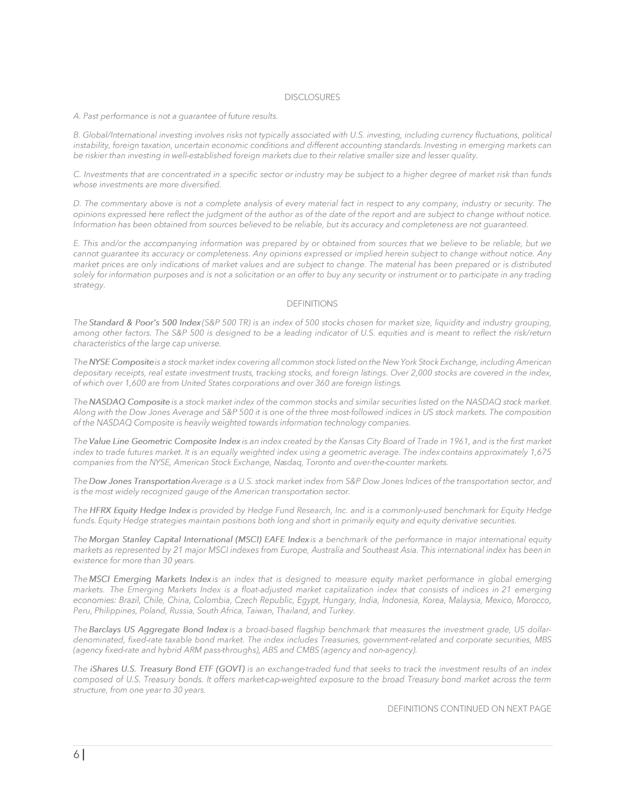#### **DISCLOSURES**

#### A. Past performance is not a quarantee of future results.

B. Global/International investing involves risks not typically associated with U.S. investing, including currency fluctuations, political instability, foreign taxation, uncertain economic conditions and different accounting standards. Investing in emerging markets can be riskier than investing in well-established foreign markets due to their relative smaller size and lesser quality.

C. Investments that are concentrated in a specific sector or industry may be subject to a higher degree of market risk than funds whose investments are more diversified.

D. The commentary above is not a complete analysis of every material fact in respect to any company, industry or security. The opinions expressed here reflect the judgment of the author as of the date of the report and are subject to change without notice. Information has been obtained from sources believed to be reliable, but its accuracy and completeness are not guaranteed.

E. This and/or the accompanying information was prepared by or obtained from sources that we believe to be reliable, but we cannot guarantee its accuracy or completeness. Any opinions expressed or implied herein subject to change without notice. Any market prices are only indications of market values and are subject to change. The material has been prepared or is distributed solely for information purposes and is not a solicitation or an offer to buy any security or instrument or to participate in any trading strategy.

#### **DEFINITIONS**

The Standard & Poor's 500 Index (S&P 500 TR) is an index of 500 stocks chosen for market size, liquidity and industry grouping, among other factors. The S&P 500 is designed to be a leading indicator of U.S. equities and is meant to reflect the risk/return characteristics of the large cap universe.

The NYSE Composite is a stock market index covering all common stock listed on the New York Stock Exchange, including American depositary receipts, real estate investment trusts, tracking stocks, and foreign listings. Over 2,000 stocks are covered in the index, of which over 1,600 are from United States corporations and over 360 are foreign listings.

The NASDAQ Composite is a stock market index of the common stocks and similar securities listed on the NASDAQ stock market. Along with the Dow Jones Average and S&P 500 it is one of the three most-followed indices in US stock markets. The composition of the NASDAQ Composite is heavily weighted towards information technology companies.

The Value Line Geometric Composite Index is an index created by the Kansas City Board of Trade in 1961, and is the first market index to trade futures market. It is an equally weighted index using a geometric average. The index contains approximately 1,675 companies from the NYSE, American Stock Exchange, Nasdaq, Toronto and over-the-counter markets.

The Dow Jones Transportation Average is a U.S. stock market index from S&P Dow Jones Indices of the transportation sector, and is the most widely recognized gauge of the American transportation sector.

The HFRX Equity Hedge Index is provided by Hedge Fund Research, Inc. and is a commonly-used benchmark for Equity Hedge funds. Equity Hedge strategies maintain positions both long and short in primarily equity and equity derivative securities.

The Morgan Stanley Capital International (MSCI) EAFE Index is a benchmark of the performance in major international equity markets as represented by 21 major MSCI indexes from Europe, Australia and Southeast Asia. This international index has been in existence for more than 30 years.

The MSCI Emerging Markets Indexis an index that is designed to measure equity market performance in global emerging markets. The Emerging Markets Index is a float-adjusted market capitalization index that consists of indices in 21 emerging economies: Brazil, Chile, China, Colombia, Czech Republic, Egypt, Hungary, India, Indonesia, Korea, Malaysia, Mexico, Morocco, Peru, Philippines, Poland, Russia, South Africa, Taiwan, Thailand, and Turkey.

The Barclays US Aggregate Bond Index is a broad-based flagship benchmark that measures the investment grade, US dollardenominated, fixed-rate taxable bond market. The index includes Treasuries, government-related and corporate securities, MBS (agency fixed-rate and hybrid ARM pass-throughs), ABS and CMBS (agency and non-agency).

The iShares U.S. Treasury Bond ETF (GOVT) is an exchange-traded fund that seeks to track the investment results of an index composed of U.S. Treasury bonds. It offers market-cap-weighted exposure to the broad Treasury bond market across the term structure, from one year to 30 years.

DEFINITIONS CONTINUED ON NEXT PAGE